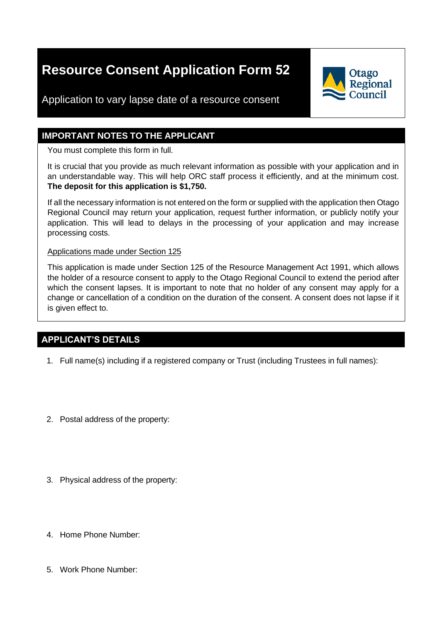# **Resource Consent Application Form 52**



Application to vary lapse date of a resource consent

#### **IMPORTANT NOTES TO THE APPLICANT**

You must complete this form in full.

It is crucial that you provide as much relevant information as possible with your application and in an understandable way. This will help ORC staff process it efficiently, and at the minimum cost. **The deposit for this application is \$1,750.**

If all the necessary information is not entered on the form or supplied with the application then Otago Regional Council may return your application, request further information, or publicly notify your application. This will lead to delays in the processing of your application and may increase processing costs.

Applications made under Section 125

This application is made under Section 125 of the Resource Management Act 1991, which allows the holder of a resource consent to apply to the Otago Regional Council to extend the period after which the consent lapses. It is important to note that no holder of any consent may apply for a change or cancellation of a condition on the duration of the consent. A consent does not lapse if it is given effect to.

## **APPLICANT'S DETAILS**

- 1. Full name(s) including if a registered company or Trust (including Trustees in full names):
- 2. Postal address of the property:
- 3. Physical address of the property:
- 4. Home Phone Number:
- 5. Work Phone Number: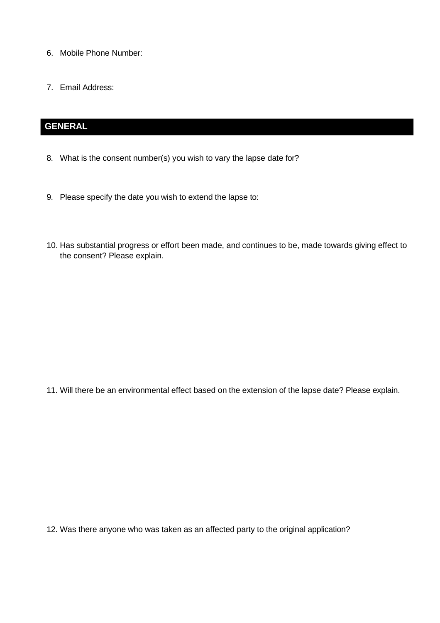- 6. Mobile Phone Number:
- 7. Email Address:

# **GENERAL**

- 8. What is the consent number(s) you wish to vary the lapse date for?
- 9. Please specify the date you wish to extend the lapse to:
- 10. Has substantial progress or effort been made, and continues to be, made towards giving effect to the consent? Please explain.

11. Will there be an environmental effect based on the extension of the lapse date? Please explain.

12. Was there anyone who was taken as an affected party to the original application?